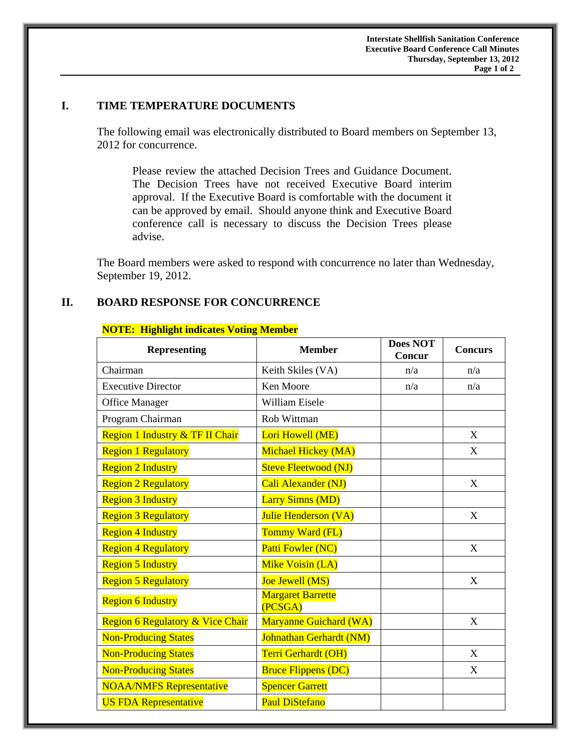## **I. TIME TEMPERATURE DOCUMENTS**

 The following email was electronically distributed to Board members on September 13, 2012 for concurrence.

Please review the attached Decision Trees and Guidance Document. The Decision Trees have not received Executive Board interim approval. If the Executive Board is comfortable with the document it can be approved by email. Should anyone think and Executive Board conference call is necessary to discuss the Decision Trees please advise.

The Board members were asked to respond with concurrence no later than Wednesday, September 19, 2012.

## **II. BOARD RESPONSE FOR CONCURRENCE**

| <b>Representing</b>                         | <b>Member</b>                       | <b>Does NOT</b><br>Concur | <b>Concurs</b> |
|---------------------------------------------|-------------------------------------|---------------------------|----------------|
| Chairman                                    | Keith Skiles (VA)                   | n/a                       | n/a            |
| <b>Executive Director</b>                   | Ken Moore                           | n/a                       | n/a            |
| <b>Office Manager</b>                       | <b>William Eisele</b>               |                           |                |
| Program Chairman                            | Rob Wittman                         |                           |                |
| Region 1 Industry & TF II Chair             | Lori Howell (ME)                    |                           | X              |
| <b>Region 1 Regulatory</b>                  | Michael Hickey (MA)                 |                           | X              |
| <b>Region 2 Industry</b>                    | <b>Steve Fleetwood (NJ)</b>         |                           |                |
| <b>Region 2 Regulatory</b>                  | Cali Alexander (NJ)                 |                           | X              |
| <b>Region 3 Industry</b>                    | <b>Larry Simns (MD)</b>             |                           |                |
| <b>Region 3 Regulatory</b>                  | Julie Henderson (VA)                |                           | X              |
| <b>Region 4 Industry</b>                    | Tommy Ward (FL)                     |                           |                |
| <b>Region 4 Regulatory</b>                  | Patti Fowler (NC)                   |                           | X              |
| <b>Region 5 Industry</b>                    | Mike Voisin (LA)                    |                           |                |
| <b>Region 5 Regulatory</b>                  | Joe Jewell (MS)                     |                           | X              |
| <b>Region 6 Industry</b>                    | <b>Margaret Barrette</b><br>(PCSGA) |                           |                |
| <b>Region 6 Regulatory &amp; Vice Chair</b> | Maryanne Guichard (WA)              |                           | X              |
| <b>Non-Producing States</b>                 | Johnathan Gerhardt (NM)             |                           |                |
| <b>Non-Producing States</b>                 | Terri Gerhardt (OH)                 |                           | $\mathbf{X}$   |
| <b>Non-Producing States</b>                 | <b>Bruce Flippens (DC)</b>          |                           | X              |
| <b>NOAA/NMFS Representative</b>             | <b>Spencer Garrett</b>              |                           |                |
| <b>US FDA Representative</b>                | <b>Paul DiStefano</b>               |                           |                |

## **NOTE: Highlight indicates Voting Member**